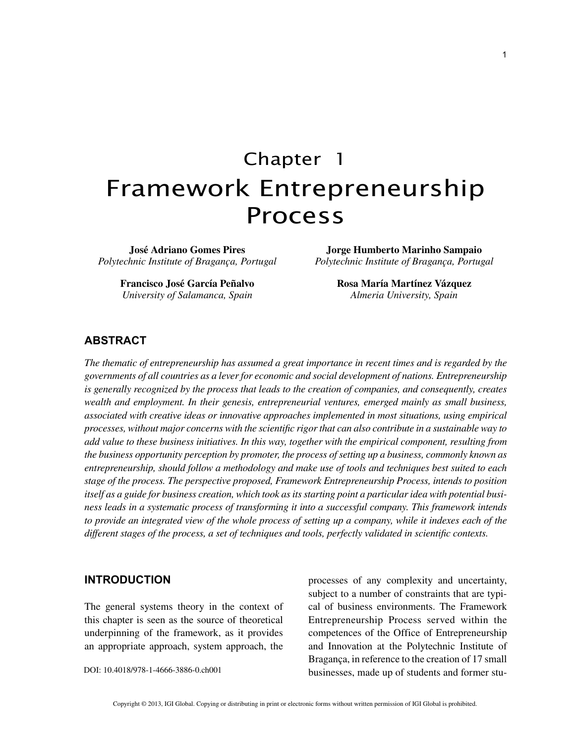# Chapter 1 Framework Entrepreneurship Process

**José Adriano Gomes Pires** *Polytechnic Institute of Bragança, Portugal*

> **Francisco José García Peñalvo** *University of Salamanca, Spain*

**Jorge Humberto Marinho Sampaio** *Polytechnic Institute of Bragança, Portugal*

> **Rosa María Martínez Vázquez** *Almeria University, Spain*

## **ABSTRACT**

*The thematic of entrepreneurship has assumed a great importance in recent times and is regarded by the governments of all countries as a lever for economic and social development of nations. Entrepreneurship is generally recognized by the process that leads to the creation of companies, and consequently, creates wealth and employment. In their genesis, entrepreneurial ventures, emerged mainly as small business, associated with creative ideas or innovative approaches implemented in most situations, using empirical processes, without major concerns with the scientific rigor that can also contribute in a sustainable way to add value to these business initiatives. In this way, together with the empirical component, resulting from the business opportunity perception by promoter, the process of setting up a business, commonly known as entrepreneurship, should follow a methodology and make use of tools and techniques best suited to each stage of the process. The perspective proposed, Framework Entrepreneurship Process, intends to position itself as a guide for business creation, which took as its starting point a particular idea with potential business leads in a systematic process of transforming it into a successful company. This framework intends to provide an integrated view of the whole process of setting up a company, while it indexes each of the different stages of the process, a set of techniques and tools, perfectly validated in scientific contexts.*

### **INTRODUCTION**

The general systems theory in the context of this chapter is seen as the source of theoretical underpinning of the framework, as it provides an appropriate approach, system approach, the

DOI: 10.4018/978-1-4666-3886-0.ch001

processes of any complexity and uncertainty, subject to a number of constraints that are typical of business environments. The Framework Entrepreneurship Process served within the competences of the Office of Entrepreneurship and Innovation at the Polytechnic Institute of Bragança, in reference to the creation of 17 small businesses, made up of students and former stu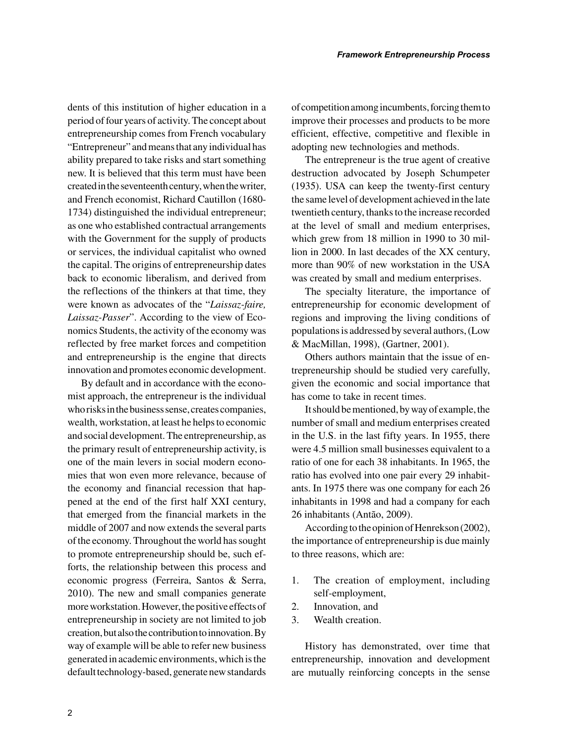dents of this institution of higher education in a period of four years of activity. The concept about entrepreneurship comes from French vocabulary "Entrepreneur" and means that any individual has ability prepared to take risks and start something new. It is believed that this term must have been created in the seventeenth century, when the writer, and French economist, Richard Cautillon (1680- 1734) distinguished the individual entrepreneur; as one who established contractual arrangements with the Government for the supply of products or services, the individual capitalist who owned the capital. The origins of entrepreneurship dates back to economic liberalism, and derived from the reflections of the thinkers at that time, they were known as advocates of the "*Laissaz-faire, Laissaz-Passer*". According to the view of Economics Students, the activity of the economy was reflected by free market forces and competition and entrepreneurship is the engine that directs innovation and promotes economic development.

By default and in accordance with the economist approach, the entrepreneur is the individual who risks in the business sense, creates companies, wealth, workstation, at least he helps to economic and social development. The entrepreneurship, as the primary result of entrepreneurship activity, is one of the main levers in social modern economies that won even more relevance, because of the economy and financial recession that happened at the end of the first half XXI century, that emerged from the financial markets in the middle of 2007 and now extends the several parts of the economy. Throughout the world has sought to promote entrepreneurship should be, such efforts, the relationship between this process and economic progress (Ferreira, Santos & Serra, 2010). The new and small companies generate more workstation. However, the positive effects of entrepreneurship in society are not limited to job creation, but also the contribution to innovation. By way of example will be able to refer new business generated in academic environments, which is the default technology-based, generate new standards of competition among incumbents, forcing them to improve their processes and products to be more efficient, effective, competitive and flexible in adopting new technologies and methods.

The entrepreneur is the true agent of creative destruction advocated by Joseph Schumpeter (1935). USA can keep the twenty-first century the same level of development achieved in the late twentieth century, thanks to the increase recorded at the level of small and medium enterprises, which grew from 18 million in 1990 to 30 million in 2000. In last decades of the XX century, more than 90% of new workstation in the USA was created by small and medium enterprises.

The specialty literature, the importance of entrepreneurship for economic development of regions and improving the living conditions of populations is addressed by several authors, (Low & MacMillan, 1998), (Gartner, 2001).

Others authors maintain that the issue of entrepreneurship should be studied very carefully, given the economic and social importance that has come to take in recent times.

It should be mentioned, by way of example, the number of small and medium enterprises created in the U.S. in the last fifty years. In 1955, there were 4.5 million small businesses equivalent to a ratio of one for each 38 inhabitants. In 1965, the ratio has evolved into one pair every 29 inhabitants. In 1975 there was one company for each 26 inhabitants in 1998 and had a company for each 26 inhabitants (Antão, 2009).

According to the opinion of Henrekson (2002), the importance of entrepreneurship is due mainly to three reasons, which are:

- 1. The creation of employment, including self-employment,
- 2. Innovation, and
- 3. Wealth creation.

History has demonstrated, over time that entrepreneurship, innovation and development are mutually reinforcing concepts in the sense